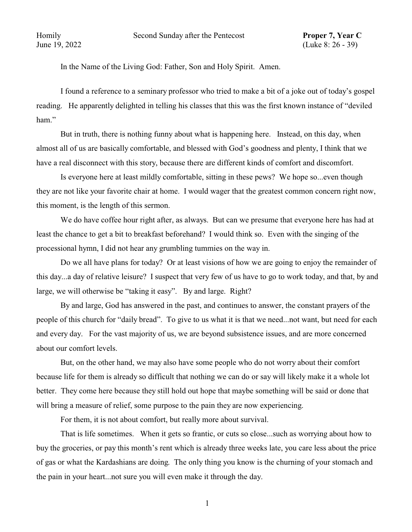In the Name of the Living God: Father, Son and Holy Spirit. Amen.

I found a reference to a seminary professor who tried to make a bit of a joke out of today's gospel reading. He apparently delighted in telling his classes that this was the first known instance of "deviled ham."

But in truth, there is nothing funny about what is happening here. Instead, on this day, when almost all of us are basically comfortable, and blessed with God's goodness and plenty, I think that we have a real disconnect with this story, because there are different kinds of comfort and discomfort.

Is everyone here at least mildly comfortable, sitting in these pews? We hope so...even though they are not like your favorite chair at home. I would wager that the greatest common concern right now, this moment, is the length of this sermon.

We do have coffee hour right after, as always. But can we presume that everyone here has had at least the chance to get a bit to breakfast beforehand? I would think so. Even with the singing of the processional hymn, I did not hear any grumbling tummies on the way in.

Do we all have plans for today? Or at least visions of how we are going to enjoy the remainder of this day...a day of relative leisure? I suspect that very few of us have to go to work today, and that, by and large, we will otherwise be "taking it easy". By and large. Right?

By and large, God has answered in the past, and continues to answer, the constant prayers of the people of this church for "daily bread". To give to us what it is that we need...not want, but need for each and every day. For the vast majority of us, we are beyond subsistence issues, and are more concerned about our comfort levels.

But, on the other hand, we may also have some people who do not worry about their comfort because life for them is already so difficult that nothing we can do or say will likely make it a whole lot better. They come here because they still hold out hope that maybe something will be said or done that will bring a measure of relief, some purpose to the pain they are now experiencing.

For them, it is not about comfort, but really more about survival.

That is life sometimes. When it gets so frantic, or cuts so close...such as worrying about how to buy the groceries, or pay this month's rent which is already three weeks late, you care less about the price of gas or what the Kardashians are doing. The only thing you know is the churning of your stomach and the pain in your heart...not sure you will even make it through the day.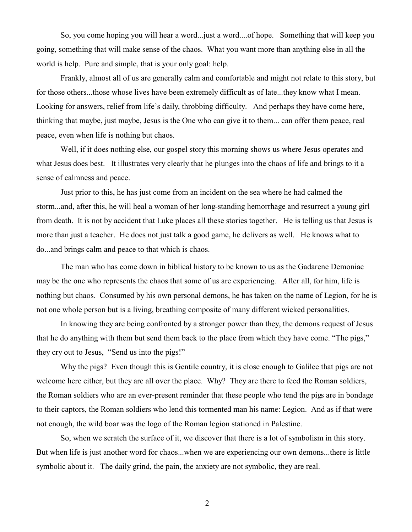So, you come hoping you will hear a word...just a word....of hope. Something that will keep you going, something that will make sense of the chaos. What you want more than anything else in all the world is help. Pure and simple, that is your only goal: help.

Frankly, almost all of us are generally calm and comfortable and might not relate to this story, but for those others...those whose lives have been extremely difficult as of late...they know what I mean. Looking for answers, relief from life's daily, throbbing difficulty. And perhaps they have come here, thinking that maybe, just maybe, Jesus is the One who can give it to them... can offer them peace, real peace, even when life is nothing but chaos.

Well, if it does nothing else, our gospel story this morning shows us where Jesus operates and what Jesus does best. It illustrates very clearly that he plunges into the chaos of life and brings to it a sense of calmness and peace.

Just prior to this, he has just come from an incident on the sea where he had calmed the storm...and, after this, he will heal a woman of her long-standing hemorrhage and resurrect a young girl from death. It is not by accident that Luke places all these stories together. He is telling us that Jesus is more than just a teacher. He does not just talk a good game, he delivers as well. He knows what to do...and brings calm and peace to that which is chaos.

The man who has come down in biblical history to be known to us as the Gadarene Demoniac may be the one who represents the chaos that some of us are experiencing. After all, for him, life is nothing but chaos. Consumed by his own personal demons, he has taken on the name of Legion, for he is not one whole person but is a living, breathing composite of many different wicked personalities.

In knowing they are being confronted by a stronger power than they, the demons request of Jesus that he do anything with them but send them back to the place from which they have come. "The pigs," they cry out to Jesus, "Send us into the pigs!"

Why the pigs? Even though this is Gentile country, it is close enough to Galilee that pigs are not welcome here either, but they are all over the place. Why? They are there to feed the Roman soldiers, the Roman soldiers who are an ever-present reminder that these people who tend the pigs are in bondage to their captors, the Roman soldiers who lend this tormented man his name: Legion. And as if that were not enough, the wild boar was the logo of the Roman legion stationed in Palestine.

So, when we scratch the surface of it, we discover that there is a lot of symbolism in this story. But when life is just another word for chaos...when we are experiencing our own demons...there is little symbolic about it. The daily grind, the pain, the anxiety are not symbolic, they are real.

2